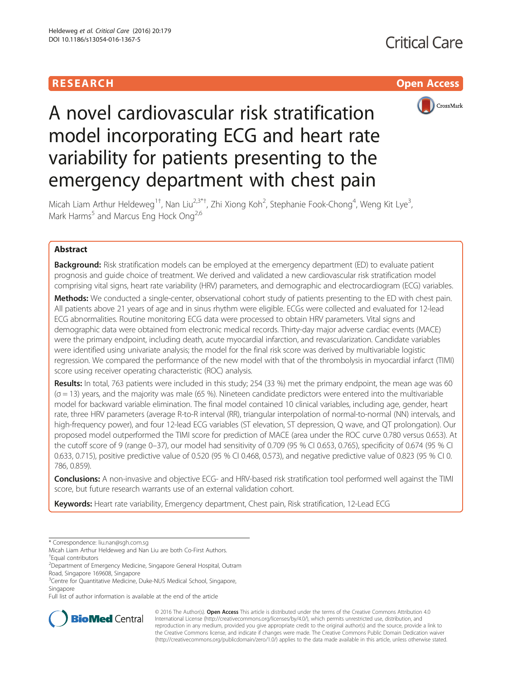



# A novel cardiovascular risk stratification model incorporating ECG and heart rate variability for patients presenting to the emergency department with chest pain

Micah Liam Arthur Heldeweg<sup>1†</sup>, Nan Liu<sup>2,3\*†</sup>, Zhi Xiong Koh<sup>2</sup>, Stephanie Fook-Chong<sup>4</sup>, Weng Kit Lye<sup>3</sup> , Mark Harms<sup>5</sup> and Marcus Eng Hock Ong<sup>2,6</sup>

# Abstract

**Background:** Risk stratification models can be employed at the emergency department (ED) to evaluate patient prognosis and guide choice of treatment. We derived and validated a new cardiovascular risk stratification model comprising vital signs, heart rate variability (HRV) parameters, and demographic and electrocardiogram (ECG) variables.

Methods: We conducted a single-center, observational cohort study of patients presenting to the ED with chest pain. All patients above 21 years of age and in sinus rhythm were eligible. ECGs were collected and evaluated for 12-lead ECG abnormalities. Routine monitoring ECG data were processed to obtain HRV parameters. Vital signs and demographic data were obtained from electronic medical records. Thirty-day major adverse cardiac events (MACE) were the primary endpoint, including death, acute myocardial infarction, and revascularization. Candidate variables were identified using univariate analysis; the model for the final risk score was derived by multivariable logistic regression. We compared the performance of the new model with that of the thrombolysis in myocardial infarct (TIMI) score using receiver operating characteristic (ROC) analysis.

Results: In total, 763 patients were included in this study; 254 (33 %) met the primary endpoint, the mean age was 60 (σ = 13) years, and the majority was male (65 %). Nineteen candidate predictors were entered into the multivariable model for backward variable elimination. The final model contained 10 clinical variables, including age, gender, heart rate, three HRV parameters (average R-to-R interval (RR), triangular interpolation of normal-to-normal (NN) intervals, and high-frequency power), and four 12-lead ECG variables (ST elevation, ST depression, Q wave, and QT prolongation). Our proposed model outperformed the TIMI score for prediction of MACE (area under the ROC curve 0.780 versus 0.653). At the cutoff score of 9 (range 0–37), our model had sensitivity of 0.709 (95 % CI 0.653, 0.765), specificity of 0.674 (95 % CI 0.633, 0.715), positive predictive value of 0.520 (95 % CI 0.468, 0.573), and negative predictive value of 0.823 (95 % CI 0. 786, 0.859).

Conclusions: A non-invasive and objective ECG- and HRV-based risk stratification tool performed well against the TIMI score, but future research warrants use of an external validation cohort.

Keywords: Heart rate variability, Emergency department, Chest pain, Risk stratification, 12-Lead ECG

Full list of author information is available at the end of the article



© 2016 The Author(s). Open Access This article is distributed under the terms of the Creative Commons Attribution 4.0 International License [\(http://creativecommons.org/licenses/by/4.0/](http://creativecommons.org/licenses/by/4.0/)), which permits unrestricted use, distribution, and reproduction in any medium, provided you give appropriate credit to the original author(s) and the source, provide a link to the Creative Commons license, and indicate if changes were made. The Creative Commons Public Domain Dedication waiver [\(http://creativecommons.org/publicdomain/zero/1.0/](http://creativecommons.org/publicdomain/zero/1.0/)) applies to the data made available in this article, unless otherwise stated.

<sup>\*</sup> Correspondence: [liu.nan@sgh.com.sg](mailto:liu.nan@sgh.com.sg)

Micah Liam Arthur Heldeweg and Nan Liu are both Co-First Authors. † Equal contributors

<sup>&</sup>lt;sup>2</sup> Department of Emergency Medicine, Singapore General Hospital, Outram Road, Singapore 169608, Singapore

<sup>&</sup>lt;sup>3</sup>Centre for Quantitative Medicine, Duke-NUS Medical School, Singapore, Singapore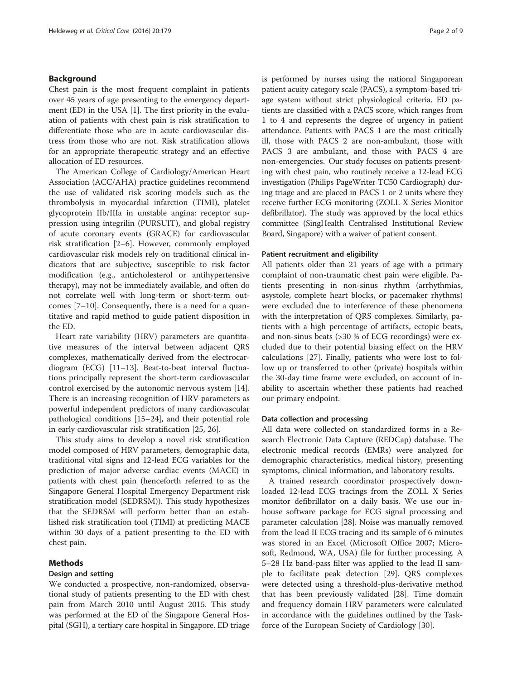# Background

Chest pain is the most frequent complaint in patients over 45 years of age presenting to the emergency department (ED) in the USA [[1](#page-7-0)]. The first priority in the evaluation of patients with chest pain is risk stratification to differentiate those who are in acute cardiovascular distress from those who are not. Risk stratification allows for an appropriate therapeutic strategy and an effective allocation of ED resources.

The American College of Cardiology/American Heart Association (ACC/AHA) practice guidelines recommend the use of validated risk scoring models such as the thrombolysis in myocardial infarction (TIMI), platelet glycoprotein IIb/IIIa in unstable angina: receptor suppression using integrilin (PURSUIT), and global registry of acute coronary events (GRACE) for cardiovascular risk stratification [\[2](#page-7-0)–[6\]](#page-8-0). However, commonly employed cardiovascular risk models rely on traditional clinical indicators that are subjective, susceptible to risk factor modification (e.g., anticholesterol or antihypertensive therapy), may not be immediately available, and often do not correlate well with long-term or short-term outcomes [\[7](#page-8-0)–[10\]](#page-8-0). Consequently, there is a need for a quantitative and rapid method to guide patient disposition in the ED.

Heart rate variability (HRV) parameters are quantitative measures of the interval between adjacent QRS complexes, mathematically derived from the electrocardiogram (ECG) [\[11](#page-8-0)–[13](#page-8-0)]. Beat-to-beat interval fluctuations principally represent the short-term cardiovascular control exercised by the autonomic nervous system [\[14](#page-8-0)]. There is an increasing recognition of HRV parameters as powerful independent predictors of many cardiovascular pathological conditions [\[15](#page-8-0)–[24\]](#page-8-0), and their potential role in early cardiovascular risk stratification [[25, 26](#page-8-0)].

This study aims to develop a novel risk stratification model composed of HRV parameters, demographic data, traditional vital signs and 12-lead ECG variables for the prediction of major adverse cardiac events (MACE) in patients with chest pain (henceforth referred to as the Singapore General Hospital Emergency Department risk stratification model (SEDRSM)). This study hypothesizes that the SEDRSM will perform better than an established risk stratification tool (TIMI) at predicting MACE within 30 days of a patient presenting to the ED with chest pain.

# Methods

# Design and setting

We conducted a prospective, non-randomized, observational study of patients presenting to the ED with chest pain from March 2010 until August 2015. This study was performed at the ED of the Singapore General Hospital (SGH), a tertiary care hospital in Singapore. ED triage is performed by nurses using the national Singaporean patient acuity category scale (PACS), a symptom-based triage system without strict physiological criteria. ED patients are classified with a PACS score, which ranges from 1 to 4 and represents the degree of urgency in patient attendance. Patients with PACS 1 are the most critically ill, those with PACS 2 are non-ambulant, those with PACS 3 are ambulant, and those with PACS 4 are non-emergencies. Our study focuses on patients presenting with chest pain, who routinely receive a 12-lead ECG investigation (Philips PageWriter TC50 Cardiograph) during triage and are placed in PACS 1 or 2 units where they receive further ECG monitoring (ZOLL X Series Monitor defibrillator). The study was approved by the local ethics committee (SingHealth Centralised Institutional Review Board, Singapore) with a waiver of patient consent.

#### Patient recruitment and eligibility

All patients older than 21 years of age with a primary complaint of non-traumatic chest pain were eligible. Patients presenting in non-sinus rhythm (arrhythmias, asystole, complete heart blocks, or pacemaker rhythms) were excluded due to interference of these phenomena with the interpretation of QRS complexes. Similarly, patients with a high percentage of artifacts, ectopic beats, and non-sinus beats (>30 % of ECG recordings) were excluded due to their potential biasing effect on the HRV calculations [[27\]](#page-8-0). Finally, patients who were lost to follow up or transferred to other (private) hospitals within the 30-day time frame were excluded, on account of inability to ascertain whether these patients had reached our primary endpoint.

#### Data collection and processing

All data were collected on standardized forms in a Research Electronic Data Capture (REDCap) database. The electronic medical records (EMRs) were analyzed for demographic characteristics, medical history, presenting symptoms, clinical information, and laboratory results.

A trained research coordinator prospectively downloaded 12-lead ECG tracings from the ZOLL X Series monitor defibrillator on a daily basis. We use our inhouse software package for ECG signal processing and parameter calculation [[28\]](#page-8-0). Noise was manually removed from the lead II ECG tracing and its sample of 6 minutes was stored in an Excel (Microsoft Office 2007; Microsoft, Redmond, WA, USA) file for further processing. A 5–28 Hz band-pass filter was applied to the lead II sample to facilitate peak detection [[29](#page-8-0)]. QRS complexes were detected using a threshold-plus-derivative method that has been previously validated [[28](#page-8-0)]. Time domain and frequency domain HRV parameters were calculated in accordance with the guidelines outlined by the Taskforce of the European Society of Cardiology [\[30](#page-8-0)].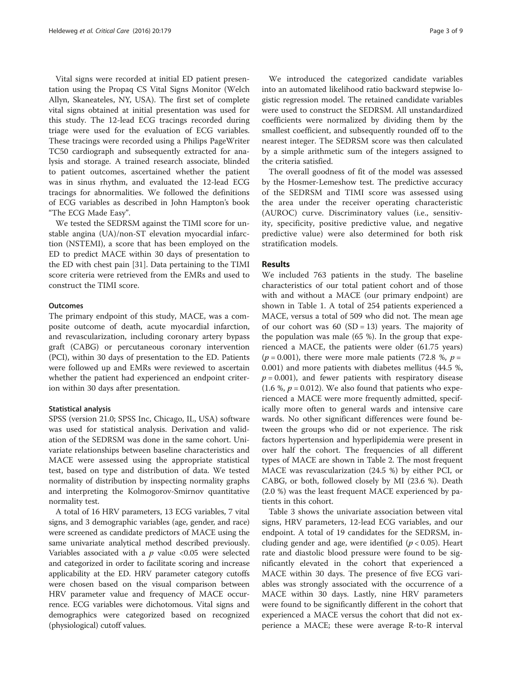Vital signs were recorded at initial ED patient presentation using the Propaq CS Vital Signs Monitor (Welch Allyn, Skaneateles, NY, USA). The first set of complete vital signs obtained at initial presentation was used for this study. The 12-lead ECG tracings recorded during triage were used for the evaluation of ECG variables. These tracings were recorded using a Philips PageWriter TC50 cardiograph and subsequently extracted for analysis and storage. A trained research associate, blinded to patient outcomes, ascertained whether the patient was in sinus rhythm, and evaluated the 12-lead ECG tracings for abnormalities. We followed the definitions of ECG variables as described in John Hampton's book "The ECG Made Easy".

We tested the SEDRSM against the TIMI score for unstable angina (UA)/non-ST elevation myocardial infarction (NSTEMI), a score that has been employed on the ED to predict MACE within 30 days of presentation to the ED with chest pain [[31\]](#page-8-0). Data pertaining to the TIMI score criteria were retrieved from the EMRs and used to construct the TIMI score.

#### **Outcomes**

The primary endpoint of this study, MACE, was a composite outcome of death, acute myocardial infarction, and revascularization, including coronary artery bypass graft (CABG) or percutaneous coronary intervention (PCI), within 30 days of presentation to the ED. Patients were followed up and EMRs were reviewed to ascertain whether the patient had experienced an endpoint criterion within 30 days after presentation.

#### Statistical analysis

SPSS (version 21.0; SPSS Inc, Chicago, IL, USA) software was used for statistical analysis. Derivation and validation of the SEDRSM was done in the same cohort. Univariate relationships between baseline characteristics and MACE were assessed using the appropriate statistical test, based on type and distribution of data. We tested normality of distribution by inspecting normality graphs and interpreting the Kolmogorov-Smirnov quantitative normality test.

A total of 16 HRV parameters, 13 ECG variables, 7 vital signs, and 3 demographic variables (age, gender, and race) were screened as candidate predictors of MACE using the same univariate analytical method described previously. Variables associated with a  $p$  value <0.05 were selected and categorized in order to facilitate scoring and increase applicability at the ED. HRV parameter category cutoffs were chosen based on the visual comparison between HRV parameter value and frequency of MACE occurrence. ECG variables were dichotomous. Vital signs and demographics were categorized based on recognized (physiological) cutoff values.

We introduced the categorized candidate variables into an automated likelihood ratio backward stepwise logistic regression model. The retained candidate variables were used to construct the SEDRSM. All unstandardized coefficients were normalized by dividing them by the smallest coefficient, and subsequently rounded off to the nearest integer. The SEDRSM score was then calculated by a simple arithmetic sum of the integers assigned to the criteria satisfied.

The overall goodness of fit of the model was assessed by the Hosmer-Lemeshow test. The predictive accuracy of the SEDRSM and TIMI score was assessed using the area under the receiver operating characteristic (AUROC) curve. Discriminatory values (i.e., sensitivity, specificity, positive predictive value, and negative predictive value) were also determined for both risk stratification models.

# Results

We included 763 patients in the study. The baseline characteristics of our total patient cohort and of those with and without a MACE (our primary endpoint) are shown in Table [1](#page-3-0). A total of 254 patients experienced a MACE, versus a total of 509 who did not. The mean age of our cohort was  $60$  (SD = 13) years. The majority of the population was male (65 %). In the group that experienced a MACE, the patients were older (61.75 years)  $(p = 0.001)$ , there were more male patients (72.8 %,  $p =$ 0.001) and more patients with diabetes mellitus (44.5 %,  $p = 0.001$ ), and fewer patients with respiratory disease (1.6 %,  $p = 0.012$ ). We also found that patients who experienced a MACE were more frequently admitted, specifically more often to general wards and intensive care wards. No other significant differences were found between the groups who did or not experience. The risk factors hypertension and hyperlipidemia were present in over half the cohort. The frequencies of all different types of MACE are shown in Table [2.](#page-3-0) The most frequent MACE was revascularization (24.5 %) by either PCI, or CABG, or both, followed closely by MI (23.6 %). Death (2.0 %) was the least frequent MACE experienced by patients in this cohort.

Table [3](#page-3-0) shows the univariate association between vital signs, HRV parameters, 12-lead ECG variables, and our endpoint. A total of 19 candidates for the SEDRSM, including gender and age, were identified ( $p < 0.05$ ). Heart rate and diastolic blood pressure were found to be significantly elevated in the cohort that experienced a MACE within 30 days. The presence of five ECG variables was strongly associated with the occurrence of a MACE within 30 days. Lastly, nine HRV parameters were found to be significantly different in the cohort that experienced a MACE versus the cohort that did not experience a MACE; these were average R-to-R interval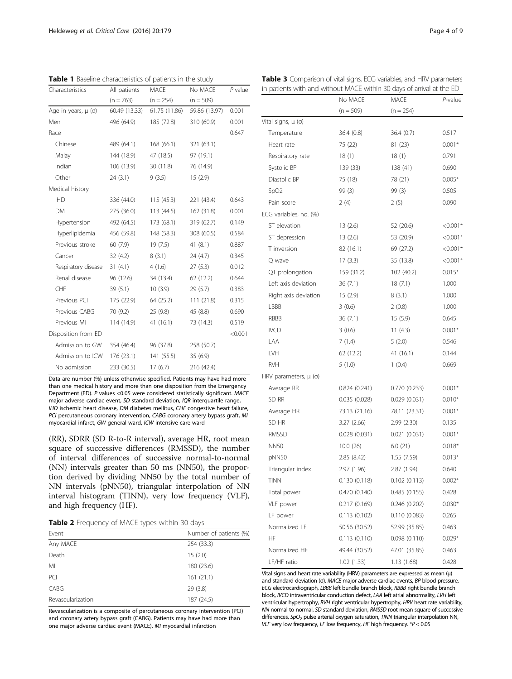<span id="page-3-0"></span>Table 1 Baseline characteristics of patients in the study

| Characteristics         | All patients  | <b>MACE</b>   | No MACE       | $P$ value |
|-------------------------|---------------|---------------|---------------|-----------|
|                         | $(n = 763)$   | $(n = 254)$   | $(n = 509)$   |           |
| Age in years, $\mu$ (o) | 60.49 (13.33) | 61.75 (11.86) | 59.86 (13.97) | 0.001     |
| Men                     | 496 (64.9)    | 185 (72.8)    | 310 (60.9)    | 0.001     |
| Race                    |               |               |               | 0.647     |
| Chinese                 | 489 (64.1)    | 168 (66.1)    | 321 (63.1)    |           |
| Malay                   | 144 (18.9)    | 47 (18.5)     | 97 (19.1)     |           |
| Indian                  | 106 (13.9)    | 30 (11.8)     | 76 (14.9)     |           |
| Other                   | 24(3.1)       | 9(3.5)        | 15(2.9)       |           |
| Medical history         |               |               |               |           |
| <b>IHD</b>              | 336 (44.0)    | 115(45.3)     | 221 (43.4)    | 0.643     |
| DM                      | 275 (36.0)    | 113 (44.5)    | 162 (31.8)    | 0.001     |
| Hypertension            | 492 (64.5)    | 173 (68.1)    | 319 (62.7)    | 0.149     |
| Hyperlipidemia          | 456 (59.8)    | 148 (58.3)    | 308 (60.5)    | 0.584     |
| Previous stroke         | 60 (7.9)      | 19(7.5)       | 41(8.1)       | 0.887     |
| Cancer                  | 32(4.2)       | 8(3.1)        | 24 (4.7)      | 0.345     |
| Respiratory disease     | 31(4.1)       | 4(1.6)        | 27(5.3)       | 0.012     |
| Renal disease           | 96 (12.6)     | 34 (13.4)     | 62 (12.2)     | 0.644     |
| CHF                     | 39(5.1)       | 10(3.9)       | 29(5.7)       | 0.383     |
| Previous PCI            | 175 (22.9)    | 64 (25.2)     | 111(21.8)     | 0.315     |
| Previous CABG           | 70 (9.2)      | 25 (9.8)      | 45 (8.8)      | 0.690     |
| Previous MI             | 114 (14.9)    | 41 (16.1)     | 73 (14.3)     | 0.519     |
| Disposition from ED     |               |               |               | < 0.001   |
| Admission to GW         | 354 (46.4)    | 96 (37.8)     | 258 (50.7)    |           |
| Admission to ICW        | 176 (23.1)    | 141 (55.5)    | 35(6.9)       |           |
| No admission            | 233 (30.5)    | 17(6.7)       | 216 (42.4)    |           |

Data are number (%) unless otherwise specified. Patients may have had more than one medical history and more than one disposition from the Emergency Department (ED). P values <0.05 were considered statistically significant. MACE major adverse cardiac event, SD standard deviation, IQR interquartile range, IHD ischemic heart disease, DM diabetes mellitus, CHF congestive heart failure, PCI percutaneous coronary intervention, CABG coronary artery bypass graft, MI myocardial infarct, GW general ward, ICW intensive care ward

(RR), SDRR (SD R-to-R interval), average HR, root mean square of successive differences (RMSSD), the number of interval differences of successive normal-to-normal (NN) intervals greater than 50 ms (NN50), the proportion derived by dividing NN50 by the total number of NN intervals (pNN50), triangular interpolation of NN interval histogram (TINN), very low frequency (VLF), and high frequency (HF).

|  | Table 2 Frequency of MACE types within 30 days |  |  |  |  |  |
|--|------------------------------------------------|--|--|--|--|--|
|--|------------------------------------------------|--|--|--|--|--|

| Event             | Number of patients (%) |
|-------------------|------------------------|
| Any MACE          | 254 (33.3)             |
| Death             | 15(2.0)                |
| ΜI                | 180 (23.6)             |
| PCI               | 161(21.1)              |
| CABG              | 29 (3.8)               |
| Revascularization | 187 (24.5)             |

Revascularization is a composite of percutaneous coronary intervention (PCI) and coronary artery bypass graft (CABG). Patients may have had more than one major adverse cardiac event (MACE). MI myocardial infarction

| Table 3 Comparison of vital signs, ECG variables, and HRV parameters  |  |  |
|-----------------------------------------------------------------------|--|--|
| in patients with and without MACE within 30 days of arrival at the ED |  |  |

|                        | No MACE       | MACE          | P-value    |
|------------------------|---------------|---------------|------------|
|                        | $(n = 509)$   | $(n = 254)$   |            |
| Vital signs, μ (σ)     |               |               |            |
| Temperature            | 36.4 (0.8)    | 36.4 (0.7)    | 0.517      |
| Heart rate             | 75 (22)       | 81 (23)       | $0.001*$   |
| Respiratory rate       | 18(1)         | 18(1)         | 0.791      |
| Systolic BP            | 139 (33)      | 138 (41)      | 0.690      |
| Diastolic BP           | 75 (18)       | 78 (21)       | $0.005*$   |
| SpO <sub>2</sub>       | 99 (3)        | 99(3)         | 0.505      |
| Pain score             | 2(4)          | 2(5)          | 0.090      |
| ECG variables, no. (%) |               |               |            |
| ST elevation           | 13(2.6)       | 52 (20.6)     | $< 0.001*$ |
| ST depression          | 13(2.6)       | 53 (20.9)     | $< 0.001*$ |
| T inversion            | 82 (16.1)     | 69 (27.2)     | $< 0.001*$ |
| Q wave                 | 17(3.3)       | 35 (13.8)     | $< 0.001*$ |
| QT prolongation        | 159 (31.2)    | 102 (40.2)    | $0.015*$   |
| Left axis deviation    | 36 (7.1)      | 18(7.1)       | 1.000      |
| Right axis deviation   | 15(2.9)       | 8(3.1)        | 1.000      |
| LBBB                   | 3(0.6)        | 2(0.8)        | 1.000      |
| RBBB                   | 36 (7.1)      | 15 (5.9)      | 0.645      |
| <b>IVCD</b>            | 3(0.6)        | 11(4.3)       | $0.001*$   |
| LAA                    | 7(1.4)        | 5(2.0)        | 0.546      |
| LVH                    | 62 (12.2)     | 41 (16.1)     | 0.144      |
| <b>RVH</b>             | 5(1.0)        | 1(0.4)        | 0.669      |
| HRV parameters, μ (σ)  |               |               |            |
| Average RR             | 0.824(0.241)  | 0.770 (0.233) | $0.001*$   |
| SD RR                  | 0.035(0.028)  | 0.029(0.031)  | $0.010*$   |
| Average HR             | 73.13 (21.16) | 78.11 (23.31) | $0.001*$   |
| SD HR                  | 3.27(2.66)    | 2.99(2.30)    | 0.135      |
| RMSSD                  | 0.028(0.031)  | 0.021(0.031)  | $0.001*$   |
| <b>NN50</b>            | 10.0 (26)     | 6.0(21)       | $0.018*$   |
| pNN50                  | 2.85 (8.42)   | 1.55(7.59)    | $0.013*$   |
| Triangular index       | 2.97 (1.96)   | 2.87 (1.94)   | 0.640      |
| TINN                   | 0.130(0.118)  | 0.102(0.113)  | $0.002*$   |
| Total power            | 0.470(0.140)  | 0.485(0.155)  | 0.428      |
| VLF power              | 0.217(0.169)  | 0.246(0.202)  | $0.030*$   |
| LF power               | 0.113(0.102)  | 0.110(0.083)  | 0.265      |
| Normalized LF          | 50.56 (30.52) | 52.99 (35.85) | 0.463      |
| ΗF                     | 0.113(0.110)  | 0.098(0.110)  | $0.029*$   |
| Normalized HF          | 49.44 (30.52) | 47.01 (35.85) | 0.463      |
| LF/HF ratio            | 1.02(1.33)    | 1.13(1.68)    | 0.428      |

Vital signs and heart rate variability (HRV) parameters are expressed as mean (μ) and standard deviation (σ). MACE major adverse cardiac events, BP blood pressure, ECG electrocardiograph, LBBB left bundle branch block, RBBB right bundle branch block, IVCD intraventricular conduction defect, LAA left atrial abnormality, LVH left ventricular hypertrophy, RVH right ventricular hypertrophy, HRV heart rate variability, NN normal-to-normal, SD standard deviation, RMSSD root mean square of successive differences,  $SpO<sub>2</sub>$  pulse arterial oxygen saturation, TINN triangular interpolation NN, VLF very low frequency, LF low frequency, HF high frequency.  $*P < 0.05$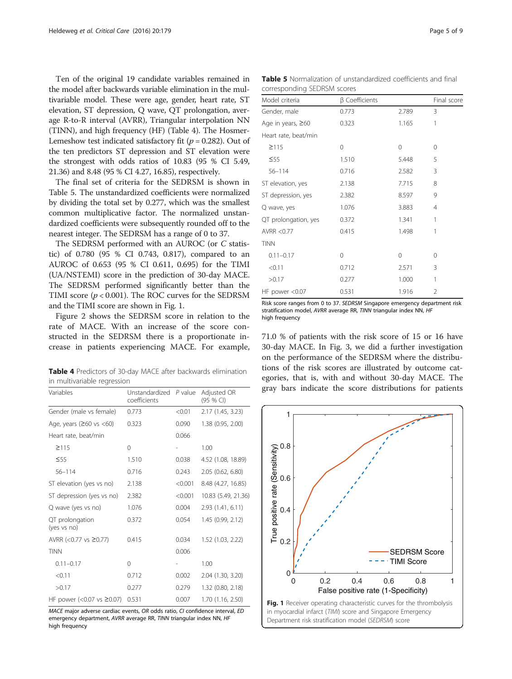Ten of the original 19 candidate variables remained in the model after backwards variable elimination in the multivariable model. These were age, gender, heart rate, ST elevation, ST depression, Q wave, QT prolongation, average R-to-R interval (AVRR), Triangular interpolation NN (TINN), and high frequency (HF) (Table 4). The Hosmer-Lemeshow test indicated satisfactory fit ( $p = 0.282$ ). Out of the ten predictors ST depression and ST elevation were the strongest with odds ratios of 10.83 (95 % CI 5.49, 21.36) and 8.48 (95 % CI 4.27, 16.85), respectively.

The final set of criteria for the SEDRSM is shown in Table 5. The unstandardized coefficients were normalized by dividing the total set by 0.277, which was the smallest common multiplicative factor. The normalized unstandardized coefficients were subsequently rounded off to the nearest integer. The SEDRSM has a range of 0 to 37.

The SEDRSM performed with an AUROC (or C statistic) of 0.780 (95 % CI 0.743, 0.817), compared to an AUROC of 0.653 (95 % CI 0.611, 0.695) for the TIMI (UA/NSTEMI) score in the prediction of 30-day MACE. The SEDRSM performed significantly better than the TIMI score  $(p < 0.001)$ . The ROC curves for the SEDRSM and the TIMI score are shown in Fig. 1.

Figure [2](#page-5-0) shows the SEDRSM score in relation to the rate of MACE. With an increase of the score constructed in the SEDRSM there is a proportionate increase in patients experiencing MACE. For example,

Table 4 Predictors of 30-day MACE after backwards elimination in multivariable regression

| Variables                           | Unstandardized P value<br>coefficients |         | Adjusted OR<br>(95 % CI) |
|-------------------------------------|----------------------------------------|---------|--------------------------|
| Gender (male vs female)             | 0.773                                  | < 0.01  | 2.17 (1.45, 3.23)        |
| Age, years $(260 \text{ vs } < 60)$ | 0.323                                  | 0.090   | 1.38 (0.95, 2.00)        |
| Heart rate, beat/min                |                                        | 0.066   |                          |
| $\geq$ 115                          | $\Omega$                               |         | 1.00                     |
| $\leq 55$                           | 1.510                                  | 0.038   | 4.52 (1.08, 18.89)       |
| $56 - 114$                          | 0.716                                  | 0.243   | 2.05 (0.62, 6.80)        |
| ST elevation (yes vs no)            | 2.138                                  | < 0.001 | 8.48 (4.27, 16.85)       |
| ST depression (yes vs no)           | 2.382                                  | < 0.001 | 10.83 (5.49, 21.36)      |
| Q wave (yes vs no)                  | 1.076                                  | 0.004   | 2.93 (1.41, 6.11)        |
| QT prolongation<br>(yes vs no)      | 0.372                                  | 0.054   | 1.45 (0.99, 2.12)        |
| AVRR (<0.77 vs ≥0.77)               | 0.415                                  | 0.034   | 1.52 (1.03, 2.22)        |
| <b>TINN</b>                         |                                        | 0.006   |                          |
| $0.11 - 0.17$                       | $\Omega$                               |         | 1.00                     |
| < 0.11                              | 0.712                                  | 0.002   | 2.04 (1.30, 3.20)        |
| >0.17                               | 0.277                                  | 0.279   | 1.32 (0.80, 2.18)        |
| HF power (< $0.07$ vs $\geq 0.07$ ) | 0.531                                  | 0.007   | 1.70 (1.16, 2.50)        |

MACE major adverse cardiac events, OR odds ratio, CI confidence interval, ED emergency department, AVRR average RR, TINN triangular index NN, HF high frequency

Table 5 Normalization of unstandardized coefficients and final corresponding SEDRSM scores

| Model criteria       | $\beta$ Coefficients |          | Final score    |
|----------------------|----------------------|----------|----------------|
| Gender, male         | 0.773                | 2.789    | 3              |
| Age in years, ≥60    | 0.323                | 1.165    | 1              |
| Heart rate, beat/min |                      |          |                |
| ≥115                 | 0                    | $\Omega$ | 0              |
| $\leq$ 55            | 1.510                | 5.448    | 5              |
| $56 - 114$           | 0.716                | 2.582    | 3              |
| ST elevation, yes    | 2.138                | 7.715    | 8              |
| ST depression, yes   | 2.382                | 8.597    | 9              |
| Q wave, yes          | 1.076                | 3.883    | $\overline{4}$ |
| QT prolongation, yes | 0.372                | 1.341    | 1              |
| AVRR < 0.77          | 0.415                | 1.498    | 1              |
| <b>TINN</b>          |                      |          |                |
| $0.11 - 0.17$        | 0                    | $\Omega$ | 0              |
| < 0.11               | 0.712                | 2.571    | 3              |
| >0.17                | 0.277                | 1.000    | 1              |
| HF power <0.07       | 0.531                | 1.916    | $\overline{2}$ |
|                      |                      |          |                |

Risk score ranges from 0 to 37. SEDRSM Singapore emergency department risk stratification model, AVRR average RR, TINN triangular index NN, HF high frequency

71.0 % of patients with the risk score of 15 or 16 have 30-day MACE. In Fig. [3](#page-5-0), we did a further investigation on the performance of the SEDRSM where the distributions of the risk scores are illustrated by outcome categories, that is, with and without 30-day MACE. The gray bars indicate the score distributions for patients

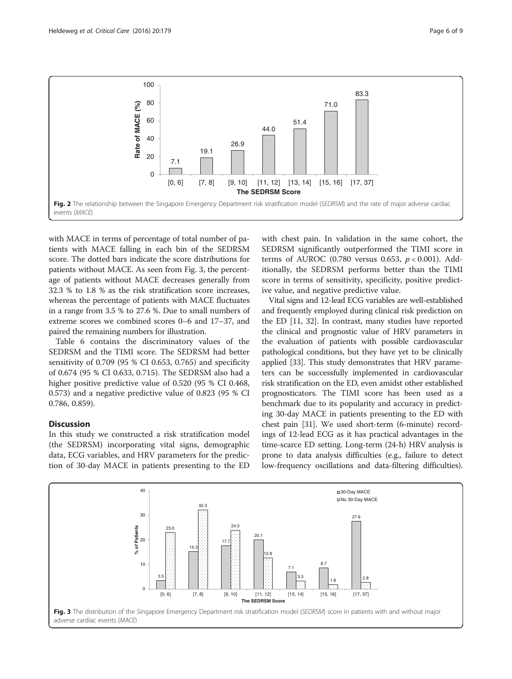<span id="page-5-0"></span>

with MACE in terms of percentage of total number of patients with MACE falling in each bin of the SEDRSM score. The dotted bars indicate the score distributions for patients without MACE. As seen from Fig. 3, the percentage of patients without MACE decreases generally from 32.3 % to 1.8 % as the risk stratification score increases, whereas the percentage of patients with MACE fluctuates in a range from 3.5 % to 27.6 %. Due to small numbers of extreme scores we combined scores 0–6 and 17–37, and paired the remaining numbers for illustration.

Table [6](#page-6-0) contains the discriminatory values of the SEDRSM and the TIMI score. The SEDRSM had better sensitivity of 0.709 (95 % CI 0.653, 0.765) and specificity of 0.674 (95 % CI 0.633, 0.715). The SEDRSM also had a higher positive predictive value of 0.520 (95 % CI 0.468, 0.573) and a negative predictive value of 0.823 (95 % CI 0.786, 0.859).

# **Discussion**

In this study we constructed a risk stratification model (the SEDRSM) incorporating vital signs, demographic data, ECG variables, and HRV parameters for the prediction of 30-day MACE in patients presenting to the ED with chest pain. In validation in the same cohort, the SEDRSM significantly outperformed the TIMI score in terms of AUROC (0.780 versus 0.653,  $p < 0.001$ ). Additionally, the SEDRSM performs better than the TIMI score in terms of sensitivity, specificity, positive predictive value, and negative predictive value.

Vital signs and 12-lead ECG variables are well-established and frequently employed during clinical risk prediction on the ED [\[11](#page-8-0), [32\]](#page-8-0). In contrast, many studies have reported the clinical and prognostic value of HRV parameters in the evaluation of patients with possible cardiovascular pathological conditions, but they have yet to be clinically applied [\[33\]](#page-8-0). This study demonstrates that HRV parameters can be successfully implemented in cardiovascular risk stratification on the ED, even amidst other established prognosticators. The TIMI score has been used as a benchmark due to its popularity and accuracy in predicting 30-day MACE in patients presenting to the ED with chest pain [\[31\]](#page-8-0). We used short-term (6-minute) recordings of 12-lead ECG as it has practical advantages in the time-scarce ED setting. Long-term (24-h) HRV analysis is prone to data analysis difficulties (e.g., failure to detect low-frequency oscillations and data-filtering difficulties).

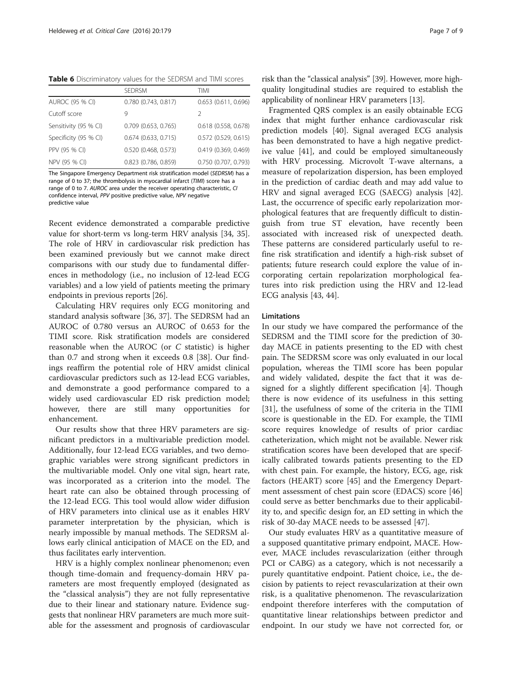<span id="page-6-0"></span>Table 6 Discriminatory values for the SEDRSM and TIMI scores

|                       | <b>SEDRSM</b>            | TIMI                     |
|-----------------------|--------------------------|--------------------------|
| AUROC (95 % CI)       | $0.780$ $(0.743, 0.817)$ | $0.653$ $(0.611, 0.696)$ |
| Cutoff score          | 9                        | 2                        |
| Sensitivity (95 % CI) | $0.709$ (0.653, 0.765)   | 0.618 (0.558, 0.678)     |
| Specificity (95 % CI) | $0.674$ (0.633, 0.715)   | $0.572$ (0.529, 0.615)   |
| PPV (95 % CI)         | 0.520 (0.468, 0.573)     | 0.419(0.369, 0.469)      |
| NPV (95 % CI)         | $0.823$ (0.786, 0.859)   | 0.750 (0.707, 0.793)     |

The Singapore Emergency Department risk stratification model (SEDRSM) has a range of 0 to 37; the thrombolysis in myocardial infarct (TIMI) score has a range of 0 to 7. AUROC area under the receiver operating characteristic, CI confidence interval, PPV positive predictive value, NPV negative predictive value

Recent evidence demonstrated a comparable predictive value for short-term vs long-term HRV analysis [\[34, 35](#page-8-0)]. The role of HRV in cardiovascular risk prediction has been examined previously but we cannot make direct comparisons with our study due to fundamental differences in methodology (i.e., no inclusion of 12-lead ECG variables) and a low yield of patients meeting the primary endpoints in previous reports [\[26\]](#page-8-0).

Calculating HRV requires only ECG monitoring and standard analysis software [[36](#page-8-0), [37](#page-8-0)]. The SEDRSM had an AUROC of 0.780 versus an AUROC of 0.653 for the TIMI score. Risk stratification models are considered reasonable when the AUROC (or C statistic) is higher than 0.7 and strong when it exceeds 0.8 [[38\]](#page-8-0). Our findings reaffirm the potential role of HRV amidst clinical cardiovascular predictors such as 12-lead ECG variables, and demonstrate a good performance compared to a widely used cardiovascular ED risk prediction model; however, there are still many opportunities for enhancement.

Our results show that three HRV parameters are significant predictors in a multivariable prediction model. Additionally, four 12-lead ECG variables, and two demographic variables were strong significant predictors in the multivariable model. Only one vital sign, heart rate, was incorporated as a criterion into the model. The heart rate can also be obtained through processing of the 12-lead ECG. This tool would allow wider diffusion of HRV parameters into clinical use as it enables HRV parameter interpretation by the physician, which is nearly impossible by manual methods. The SEDRSM allows early clinical anticipation of MACE on the ED, and thus facilitates early intervention.

HRV is a highly complex nonlinear phenomenon; even though time-domain and frequency-domain HRV parameters are most frequently employed (designated as the "classical analysis") they are not fully representative due to their linear and stationary nature. Evidence suggests that nonlinear HRV parameters are much more suitable for the assessment and prognosis of cardiovascular

risk than the "classical analysis" [\[39\]](#page-8-0). However, more highquality longitudinal studies are required to establish the applicability of nonlinear HRV parameters [\[13\]](#page-8-0).

Fragmented QRS complex is an easily obtainable ECG index that might further enhance cardiovascular risk prediction models [\[40\]](#page-8-0). Signal averaged ECG analysis has been demonstrated to have a high negative predictive value [[41\]](#page-8-0), and could be employed simultaneously with HRV processing. Microvolt T-wave alternans, a measure of repolarization dispersion, has been employed in the prediction of cardiac death and may add value to HRV and signal averaged ECG (SAECG) analysis [\[42](#page-8-0)]. Last, the occurrence of specific early repolarization morphological features that are frequently difficult to distinguish from true ST elevation, have recently been associated with increased risk of unexpected death. These patterns are considered particularly useful to refine risk stratification and identify a high-risk subset of patients; future research could explore the value of incorporating certain repolarization morphological features into risk prediction using the HRV and 12-lead ECG analysis [\[43](#page-8-0), [44](#page-8-0)].

### Limitations

In our study we have compared the performance of the SEDRSM and the TIMI score for the prediction of 30 day MACE in patients presenting to the ED with chest pain. The SEDRSM score was only evaluated in our local population, whereas the TIMI score has been popular and widely validated, despite the fact that it was designed for a slightly different specification [[4\]](#page-8-0). Though there is now evidence of its usefulness in this setting [[31\]](#page-8-0), the usefulness of some of the criteria in the TIMI score is questionable in the ED. For example, the TIMI score requires knowledge of results of prior cardiac catheterization, which might not be available. Newer risk stratification scores have been developed that are specifically calibrated towards patients presenting to the ED with chest pain. For example, the history, ECG, age, risk factors (HEART) score [[45](#page-8-0)] and the Emergency Department assessment of chest pain score (EDACS) score [[46](#page-8-0)] could serve as better benchmarks due to their applicability to, and specific design for, an ED setting in which the risk of 30-day MACE needs to be assessed [[47\]](#page-8-0).

Our study evaluates HRV as a quantitative measure of a supposed quantitative primary endpoint, MACE. However, MACE includes revascularization (either through PCI or CABG) as a category, which is not necessarily a purely quantitative endpoint. Patient choice, i.e., the decision by patients to reject revascularization at their own risk, is a qualitative phenomenon. The revascularization endpoint therefore interferes with the computation of quantitative linear relationships between predictor and endpoint. In our study we have not corrected for, or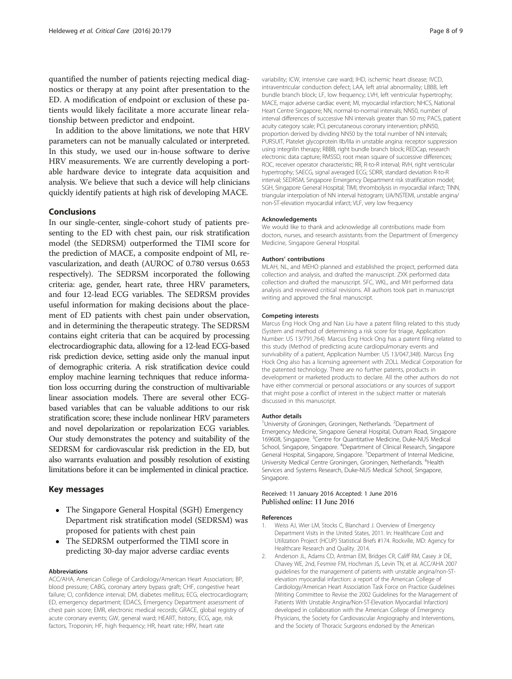<span id="page-7-0"></span>quantified the number of patients rejecting medical diagnostics or therapy at any point after presentation to the ED. A modification of endpoint or exclusion of these patients would likely facilitate a more accurate linear relationship between predictor and endpoint.

In addition to the above limitations, we note that HRV parameters can not be manually calculated or interpreted. In this study, we used our in-house software to derive HRV measurements. We are currently developing a portable hardware device to integrate data acquisition and analysis. We believe that such a device will help clinicians quickly identify patients at high risk of developing MACE.

### Conclusions

In our single-center, single-cohort study of patients presenting to the ED with chest pain, our risk stratification model (the SEDRSM) outperformed the TIMI score for the prediction of MACE, a composite endpoint of MI, revascularization, and death (AUROC of 0.780 versus 0.653 respectively). The SEDRSM incorporated the following criteria: age, gender, heart rate, three HRV parameters, and four 12-lead ECG variables. The SEDRSM provides useful information for making decisions about the placement of ED patients with chest pain under observation, and in determining the therapeutic strategy. The SEDRSM contains eight criteria that can be acquired by processing electrocardiographic data, allowing for a 12-lead ECG-based risk prediction device, setting aside only the manual input of demographic criteria. A risk stratification device could employ machine learning techniques that reduce information loss occurring during the construction of multivariable linear association models. There are several other ECGbased variables that can be valuable additions to our risk stratification score; these include nonlinear HRV parameters and novel depolarization or repolarization ECG variables. Our study demonstrates the potency and suitability of the SEDRSM for cardiovascular risk prediction in the ED, but also warrants evaluation and possibly resolution of existing limitations before it can be implemented in clinical practice.

#### Key messages

- The Singapore General Hospital (SGH) Emergency Department risk stratification model (SEDRSM) was proposed for patients with chest pain
- The SEDRSM outperformed the TIMI score in predicting 30-day major adverse cardiac events

#### Abbreviations

ACC/AHA, American College of Cardiology/American Heart Association; BP, blood pressure; CABG, coronary artery bypass graft; CHF, congestive heart failure; CI, confidence interval; DM, diabetes mellitus; ECG, electrocardiogram; ED, emergency department; EDACS, Emergency Department assessment of chest pain score; EMR, electronic medical records; GRACE, global registry of acute coronary events; GW, general ward; HEART, history, ECG, age, risk factors, Troponin; HF, high frequency; HR, heart rate; HRV, heart rate

variability; ICW, intensive care ward; IHD, ischemic heart disease; IVCD, intraventricular conduction defect; LAA, left atrial abnormality; LBBB, left bundle branch block; LF, low frequency; LVH, left ventricular hypertrophy; MACE, major adverse cardiac event; MI, myocardial infarction; NHCS, National Heart Centre Singapore; NN, normal-to-normal intervals; NN50, number of interval differences of successive NN intervals greater than 50 ms; PACS, patient acuity category scale; PCI, percutaneous coronary intervention; pNN50, proportion derived by dividing NN50 by the total number of NN intervals; PURSUIT, Platelet glycoprotein IIb/IIIa in unstable angina: receptor suppression using integrilin therapy; RBBB, right bundle branch block; REDCap, research electronic data capture; RMSSD, root mean square of successive differences; ROC, receiver operator characteristic; RR, R-to-R interval; RVH, right ventricular hypertrophy; SAECG, signal averaged ECG; SDRR, standard deviation R-to-R interval; SEDRSM, Singapore Emergency Department risk stratification model; SGH, Singapore General Hospital; TIMI, thrombolysis in myocardial infarct; TINN, triangular interpolation of NN interval histogram; UA/NSTEMI, unstable angina/ non-ST-elevation myocardial infarct; VLF, very low frequency

#### Acknowledgements

We would like to thank and acknowledge all contributions made from doctors, nurses, and research assistants from the Department of Emergency Medicine, Singapore General Hospital.

#### Authors' contributions

MLAH, NL, and MEHO planned and established the project, performed data collection and analysis, and drafted the manuscript. ZXK performed data collection and drafted the manuscript. SFC, WKL, and MH performed data analysis and reviewed critical revisions. All authors took part in manuscript writing and approved the final manuscript.

#### Competing interests

Marcus Eng Hock Ong and Nan Liu have a patent filing related to this study (System and method of determining a risk score for triage, Application Number: US 13/791,764). Marcus Eng Hock Ong has a patent filing related to this study (Method of predicting acute cardiopulmonary events and survivability of a patient, Application Number: US 13/047,348). Marcus Eng Hock Ong also has a licensing agreement with ZOLL Medical Corporation for the patented technology. There are no further patents, products in development or marketed products to declare. All the other authors do not have either commercial or personal associations or any sources of support that might pose a conflict of interest in the subject matter or materials discussed in this manuscript.

#### Author details

<sup>1</sup>University of Groningen, Groningen, Netherlands. <sup>2</sup>Department of Emergency Medicine, Singapore General Hospital, Outram Road, Singapore 169608, Singapore. <sup>3</sup>Centre for Quantitative Medicine, Duke-NUS Medical School, Singapore, Singapore. <sup>4</sup>Department of Clinical Research, Singapore General Hospital, Singapore, Singapore. <sup>5</sup>Department of Internal Medicine University Medical Centre Groningen, Groningen, Netherlands. <sup>6</sup>Health Services and Systems Research, Duke-NUS Medical School, Singapore, Singapore.

### Received: 11 January 2016 Accepted: 1 June 2016 Published online: 11 June 2016

#### References

- 1. Weiss AJ, Wier LM, Stocks C, Blanchard J. Overview of Emergency Department Visits in the United States, 2011. In: Healthcare Cost and Utilization Project (HCUP) Statistical Briefs #174. Rockville, MD: Agency for Healthcare Research and Quality. 2014.
- Anderson JL, Adams CD, Antman EM, Bridges CR, Califf RM, Casey Jr DE, Chavey WE, 2nd, Fesmire FM, Hochman JS, Levin TN, et al. ACC/AHA 2007 guidelines for the management of patients with unstable angina/non-STelevation myocardial infarction: a report of the American College of Cardiology/American Heart Association Task Force on Practice Guidelines (Writing Committee to Revise the 2002 Guidelines for the Management of Patients With Unstable Angina/Non-ST-Elevation Myocardial Infarction) developed in collaboration with the American College of Emergency Physicians, the Society for Cardiovascular Angiography and Interventions, and the Society of Thoracic Surgeons endorsed by the American